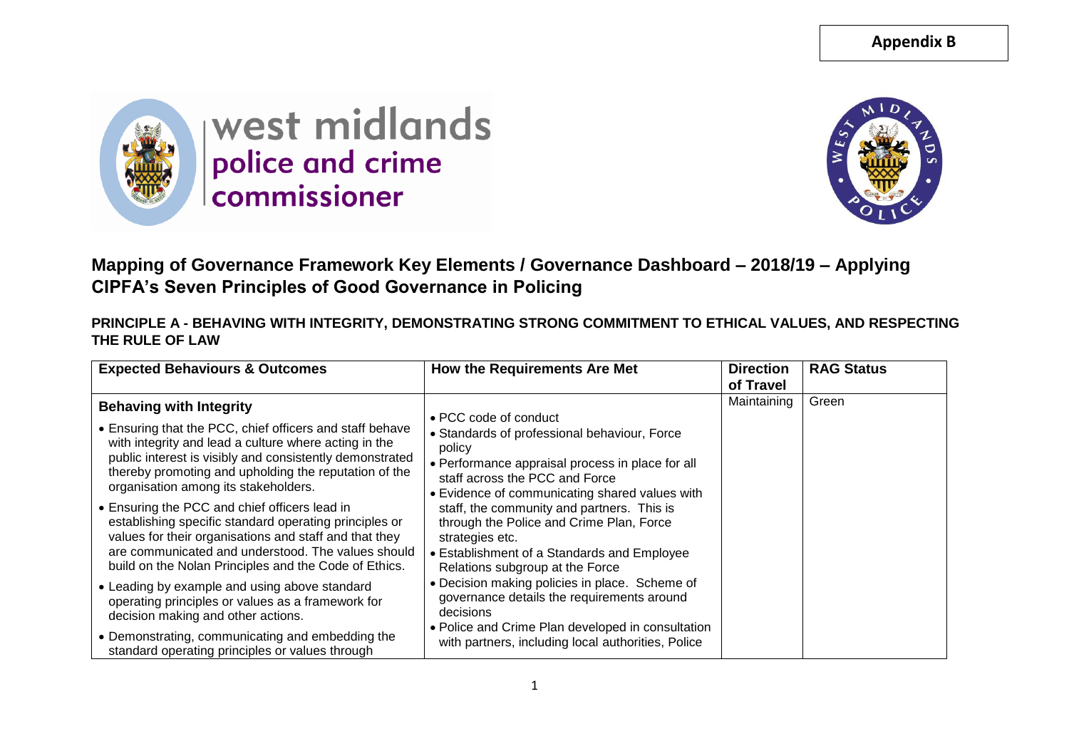



# **Mapping of Governance Framework Key Elements / Governance Dashboard – 2018/19 – Applying CIPFA's Seven Principles of Good Governance in Policing**

**PRINCIPLE A - BEHAVING WITH INTEGRITY, DEMONSTRATING STRONG COMMITMENT TO ETHICAL VALUES, AND RESPECTING THE RULE OF LAW**

| Maintaining<br>Green<br><b>Behaving with Integrity</b><br>• PCC code of conduct<br>• Ensuring that the PCC, chief officers and staff behave<br>• Standards of professional behaviour, Force<br>with integrity and lead a culture where acting in the<br>policy<br>public interest is visibly and consistently demonstrated<br>• Performance appraisal process in place for all<br>thereby promoting and upholding the reputation of the<br>staff across the PCC and Force<br>organisation among its stakeholders.<br>• Evidence of communicating shared values with<br>• Ensuring the PCC and chief officers lead in<br>staff, the community and partners. This is<br>establishing specific standard operating principles or<br>through the Police and Crime Plan, Force | <b>Expected Behaviours &amp; Outcomes</b>              | <b>How the Requirements Are Met</b> | <b>Direction</b><br>of Travel | <b>RAG Status</b> |
|--------------------------------------------------------------------------------------------------------------------------------------------------------------------------------------------------------------------------------------------------------------------------------------------------------------------------------------------------------------------------------------------------------------------------------------------------------------------------------------------------------------------------------------------------------------------------------------------------------------------------------------------------------------------------------------------------------------------------------------------------------------------------|--------------------------------------------------------|-------------------------------------|-------------------------------|-------------------|
| are communicated and understood. The values should<br>• Establishment of a Standards and Employee<br>build on the Nolan Principles and the Code of Ethics.<br>Relations subgroup at the Force<br>• Decision making policies in place. Scheme of<br>• Leading by example and using above standard<br>governance details the requirements around<br>operating principles or values as a framework for<br>decisions<br>decision making and other actions.<br>• Police and Crime Plan developed in consultation<br>• Demonstrating, communicating and embedding the<br>with partners, including local authorities, Police                                                                                                                                                    | values for their organisations and staff and that they | strategies etc.                     |                               |                   |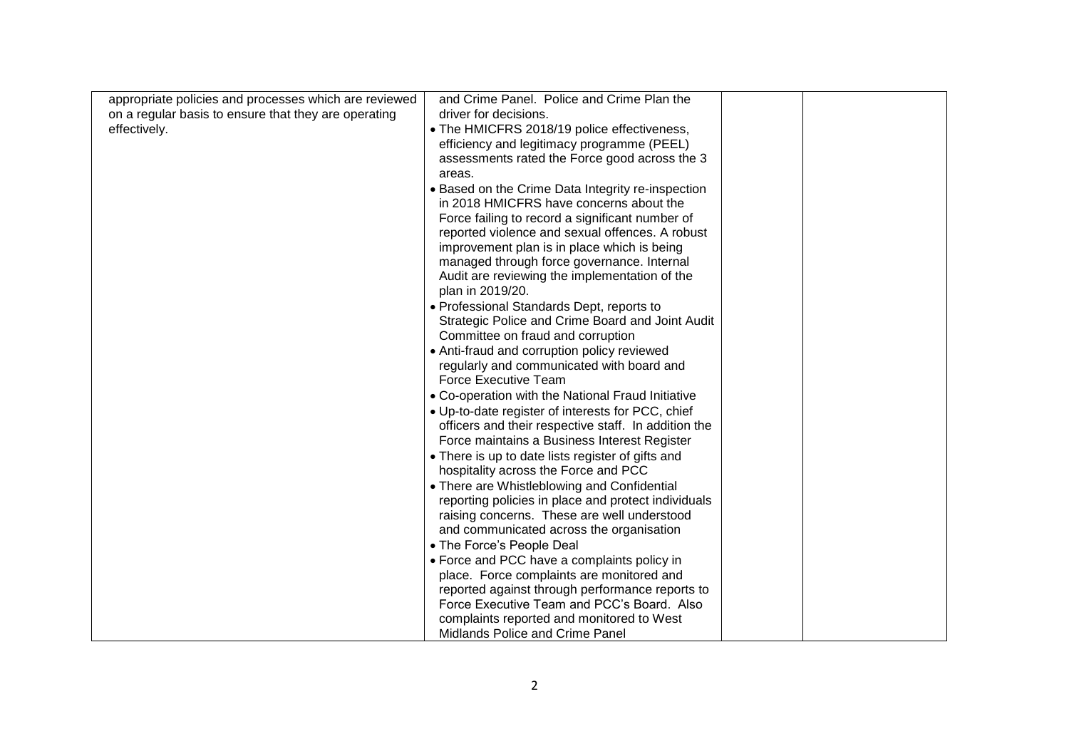| appropriate policies and processes which are reviewed | and Crime Panel. Police and Crime Plan the           |  |
|-------------------------------------------------------|------------------------------------------------------|--|
| on a regular basis to ensure that they are operating  | driver for decisions.                                |  |
| effectively.                                          | • The HMICFRS 2018/19 police effectiveness,          |  |
|                                                       | efficiency and legitimacy programme (PEEL)           |  |
|                                                       | assessments rated the Force good across the 3        |  |
|                                                       | areas.                                               |  |
|                                                       | • Based on the Crime Data Integrity re-inspection    |  |
|                                                       | in 2018 HMICFRS have concerns about the              |  |
|                                                       | Force failing to record a significant number of      |  |
|                                                       | reported violence and sexual offences. A robust      |  |
|                                                       | improvement plan is in place which is being          |  |
|                                                       | managed through force governance. Internal           |  |
|                                                       | Audit are reviewing the implementation of the        |  |
|                                                       | plan in 2019/20.                                     |  |
|                                                       | • Professional Standards Dept, reports to            |  |
|                                                       | Strategic Police and Crime Board and Joint Audit     |  |
|                                                       | Committee on fraud and corruption                    |  |
|                                                       | • Anti-fraud and corruption policy reviewed          |  |
|                                                       | regularly and communicated with board and            |  |
|                                                       | Force Executive Team                                 |  |
|                                                       | • Co-operation with the National Fraud Initiative    |  |
|                                                       | • Up-to-date register of interests for PCC, chief    |  |
|                                                       | officers and their respective staff. In addition the |  |
|                                                       | Force maintains a Business Interest Register         |  |
|                                                       | • There is up to date lists register of gifts and    |  |
|                                                       | hospitality across the Force and PCC                 |  |
|                                                       | • There are Whistleblowing and Confidential          |  |
|                                                       | reporting policies in place and protect individuals  |  |
|                                                       | raising concerns. These are well understood          |  |
|                                                       | and communicated across the organisation             |  |
|                                                       | • The Force's People Deal                            |  |
|                                                       | • Force and PCC have a complaints policy in          |  |
|                                                       | place. Force complaints are monitored and            |  |
|                                                       | reported against through performance reports to      |  |
|                                                       | Force Executive Team and PCC's Board. Also           |  |
|                                                       | complaints reported and monitored to West            |  |
|                                                       | Midlands Police and Crime Panel                      |  |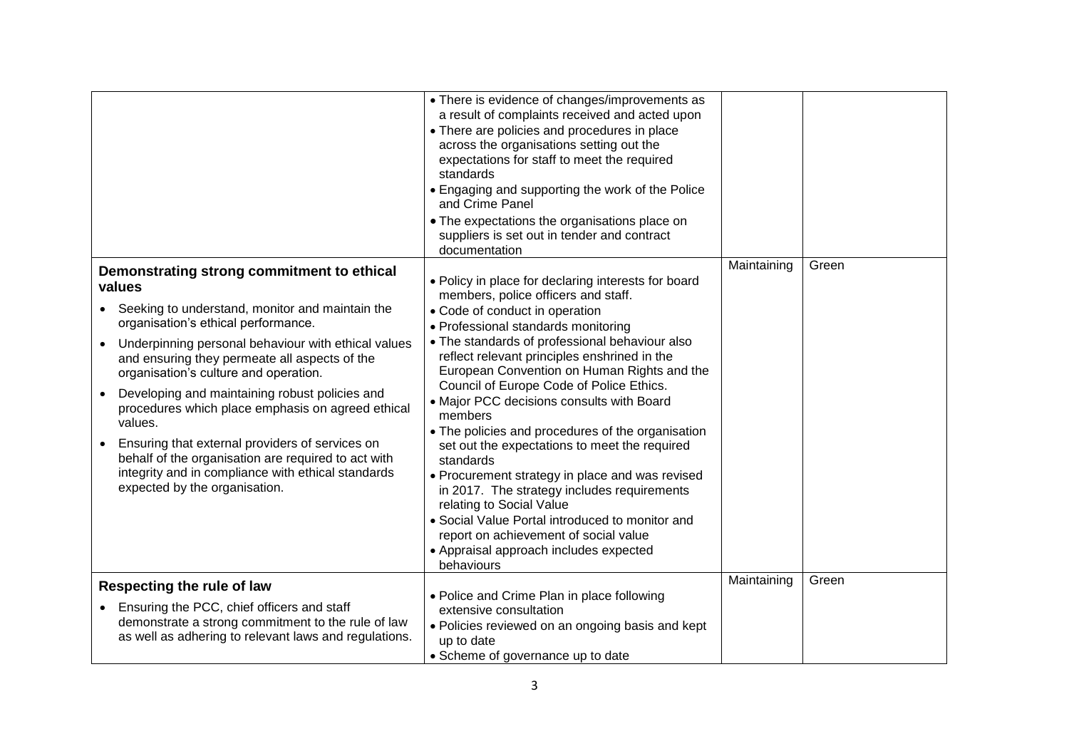|                                                                                                                                                                                                                                                                                                                                                                                                                                                                                                                                                                                                                                                           | • There is evidence of changes/improvements as<br>a result of complaints received and acted upon<br>• There are policies and procedures in place<br>across the organisations setting out the<br>expectations for staff to meet the required<br>standards<br>• Engaging and supporting the work of the Police<br>and Crime Panel<br>• The expectations the organisations place on<br>suppliers is set out in tender and contract<br>documentation                                                                                                                                                                                                                                                                                                                                                                              |             |       |
|-----------------------------------------------------------------------------------------------------------------------------------------------------------------------------------------------------------------------------------------------------------------------------------------------------------------------------------------------------------------------------------------------------------------------------------------------------------------------------------------------------------------------------------------------------------------------------------------------------------------------------------------------------------|-------------------------------------------------------------------------------------------------------------------------------------------------------------------------------------------------------------------------------------------------------------------------------------------------------------------------------------------------------------------------------------------------------------------------------------------------------------------------------------------------------------------------------------------------------------------------------------------------------------------------------------------------------------------------------------------------------------------------------------------------------------------------------------------------------------------------------|-------------|-------|
| Demonstrating strong commitment to ethical<br>values<br>Seeking to understand, monitor and maintain the<br>organisation's ethical performance.<br>Underpinning personal behaviour with ethical values<br>$\bullet$<br>and ensuring they permeate all aspects of the<br>organisation's culture and operation.<br>Developing and maintaining robust policies and<br>$\bullet$<br>procedures which place emphasis on agreed ethical<br>values.<br>Ensuring that external providers of services on<br>$\bullet$<br>behalf of the organisation are required to act with<br>integrity and in compliance with ethical standards<br>expected by the organisation. | . Policy in place for declaring interests for board<br>members, police officers and staff.<br>• Code of conduct in operation<br>• Professional standards monitoring<br>• The standards of professional behaviour also<br>reflect relevant principles enshrined in the<br>European Convention on Human Rights and the<br>Council of Europe Code of Police Ethics.<br>• Major PCC decisions consults with Board<br>members<br>• The policies and procedures of the organisation<br>set out the expectations to meet the required<br>standards<br>• Procurement strategy in place and was revised<br>in 2017. The strategy includes requirements<br>relating to Social Value<br>• Social Value Portal introduced to monitor and<br>report on achievement of social value<br>• Appraisal approach includes expected<br>behaviours | Maintaining | Green |
| Respecting the rule of law<br>• Ensuring the PCC, chief officers and staff<br>demonstrate a strong commitment to the rule of law<br>as well as adhering to relevant laws and regulations.                                                                                                                                                                                                                                                                                                                                                                                                                                                                 | • Police and Crime Plan in place following<br>extensive consultation<br>• Policies reviewed on an ongoing basis and kept<br>up to date<br>• Scheme of governance up to date                                                                                                                                                                                                                                                                                                                                                                                                                                                                                                                                                                                                                                                   | Maintaining | Green |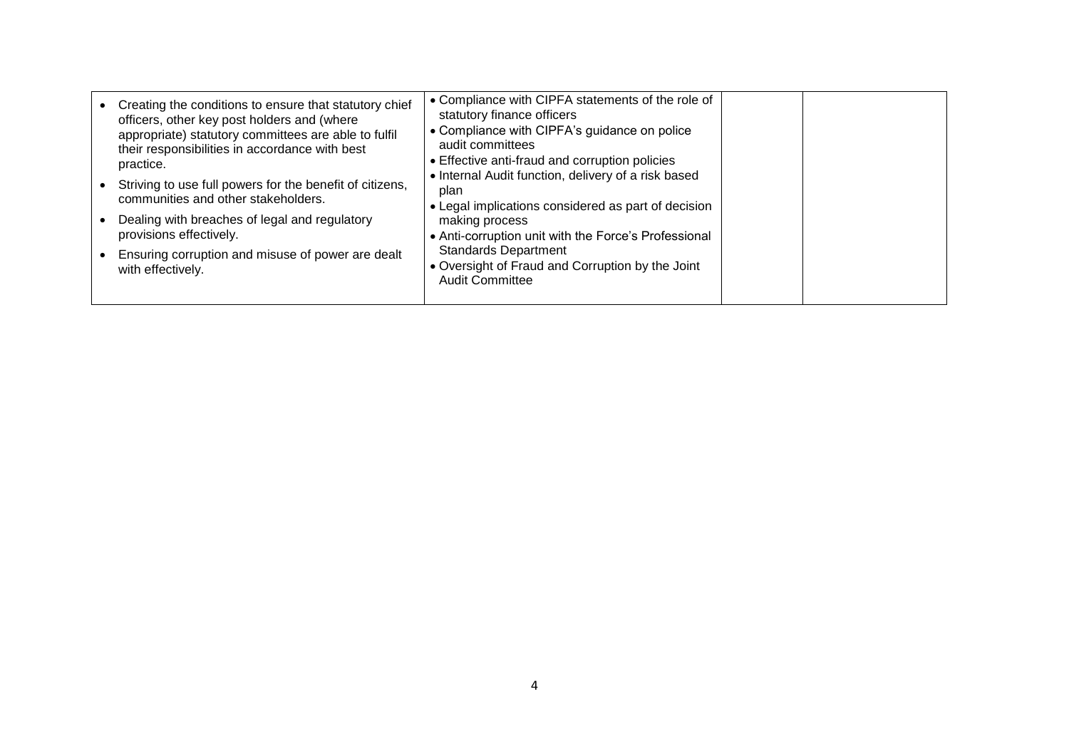| • Creating the conditions to ensure that statutory chief<br>officers, other key post holders and (where<br>appropriate) statutory committees are able to fulfil<br>their responsibilities in accordance with best<br>practice.<br>• Striving to use full powers for the benefit of citizens,<br>communities and other stakeholders.<br>Dealing with breaches of legal and regulatory | • Compliance with CIPFA statements of the role of<br>statutory finance officers<br>• Compliance with CIPFA's guidance on police<br>audit committees<br>• Effective anti-fraud and corruption policies<br>• Internal Audit function, delivery of a risk based<br>plan<br>• Legal implications considered as part of decision |  |
|--------------------------------------------------------------------------------------------------------------------------------------------------------------------------------------------------------------------------------------------------------------------------------------------------------------------------------------------------------------------------------------|-----------------------------------------------------------------------------------------------------------------------------------------------------------------------------------------------------------------------------------------------------------------------------------------------------------------------------|--|
| provisions effectively.<br>Ensuring corruption and misuse of power are dealt<br>with effectively.                                                                                                                                                                                                                                                                                    | making process<br>• Anti-corruption unit with the Force's Professional<br><b>Standards Department</b><br>• Oversight of Fraud and Corruption by the Joint<br><b>Audit Committee</b>                                                                                                                                         |  |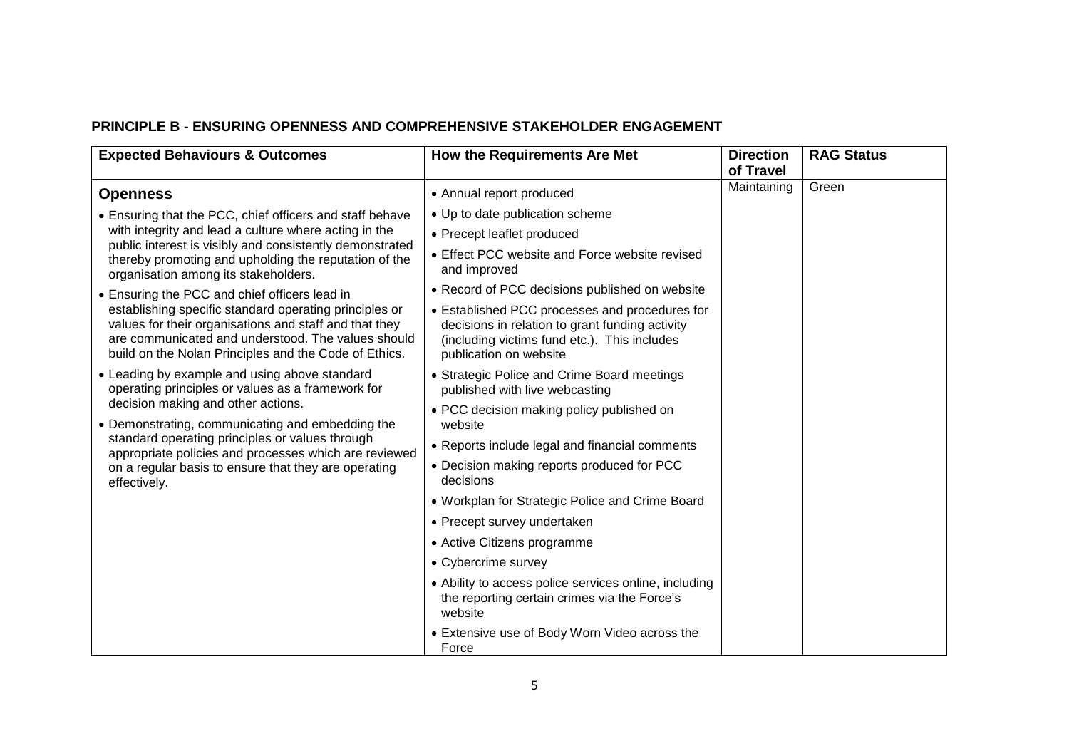### **PRINCIPLE B - ENSURING OPENNESS AND COMPREHENSIVE STAKEHOLDER ENGAGEMENT**

| <b>Expected Behaviours &amp; Outcomes</b>                                                                                                                                                                                       | <b>How the Requirements Are Met</b>                                                                                                                                         | <b>Direction</b><br>of Travel | <b>RAG Status</b> |
|---------------------------------------------------------------------------------------------------------------------------------------------------------------------------------------------------------------------------------|-----------------------------------------------------------------------------------------------------------------------------------------------------------------------------|-------------------------------|-------------------|
| <b>Openness</b>                                                                                                                                                                                                                 | • Annual report produced                                                                                                                                                    | Maintaining                   | Green             |
| • Ensuring that the PCC, chief officers and staff behave                                                                                                                                                                        | • Up to date publication scheme                                                                                                                                             |                               |                   |
| with integrity and lead a culture where acting in the                                                                                                                                                                           | • Precept leaflet produced                                                                                                                                                  |                               |                   |
| public interest is visibly and consistently demonstrated<br>thereby promoting and upholding the reputation of the<br>organisation among its stakeholders.                                                                       | • Effect PCC website and Force website revised<br>and improved                                                                                                              |                               |                   |
| • Ensuring the PCC and chief officers lead in                                                                                                                                                                                   | • Record of PCC decisions published on website                                                                                                                              |                               |                   |
| establishing specific standard operating principles or<br>values for their organisations and staff and that they<br>are communicated and understood. The values should<br>build on the Nolan Principles and the Code of Ethics. | • Established PCC processes and procedures for<br>decisions in relation to grant funding activity<br>(including victims fund etc.). This includes<br>publication on website |                               |                   |
| • Leading by example and using above standard<br>operating principles or values as a framework for                                                                                                                              | • Strategic Police and Crime Board meetings<br>published with live webcasting                                                                                               |                               |                   |
| decision making and other actions.<br>• Demonstrating, communicating and embedding the                                                                                                                                          | • PCC decision making policy published on<br>website                                                                                                                        |                               |                   |
| standard operating principles or values through<br>appropriate policies and processes which are reviewed                                                                                                                        | • Reports include legal and financial comments                                                                                                                              |                               |                   |
| on a regular basis to ensure that they are operating<br>effectively.                                                                                                                                                            | • Decision making reports produced for PCC<br>decisions                                                                                                                     |                               |                   |
|                                                                                                                                                                                                                                 | • Workplan for Strategic Police and Crime Board                                                                                                                             |                               |                   |
|                                                                                                                                                                                                                                 | • Precept survey undertaken                                                                                                                                                 |                               |                   |
|                                                                                                                                                                                                                                 | • Active Citizens programme                                                                                                                                                 |                               |                   |
|                                                                                                                                                                                                                                 | • Cybercrime survey                                                                                                                                                         |                               |                   |
|                                                                                                                                                                                                                                 | • Ability to access police services online, including<br>the reporting certain crimes via the Force's<br>website                                                            |                               |                   |
|                                                                                                                                                                                                                                 | • Extensive use of Body Worn Video across the<br>Force                                                                                                                      |                               |                   |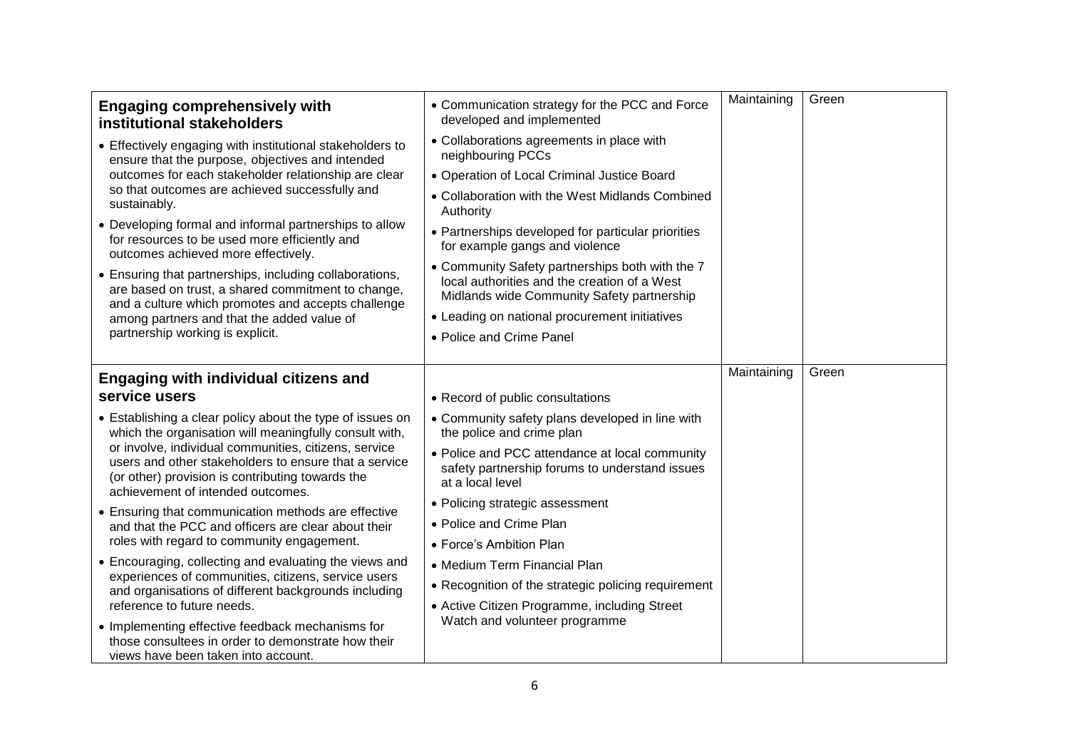| <b>Engaging comprehensively with</b><br>institutional stakeholders                                                                                                                                      | • Communication strategy for the PCC and Force<br>developed and implemented                                                                   | Maintaining | Green |
|---------------------------------------------------------------------------------------------------------------------------------------------------------------------------------------------------------|-----------------------------------------------------------------------------------------------------------------------------------------------|-------------|-------|
| • Effectively engaging with institutional stakeholders to<br>ensure that the purpose, objectives and intended                                                                                           | • Collaborations agreements in place with<br>neighbouring PCCs                                                                                |             |       |
| outcomes for each stakeholder relationship are clear                                                                                                                                                    | • Operation of Local Criminal Justice Board                                                                                                   |             |       |
| so that outcomes are achieved successfully and<br>sustainably.                                                                                                                                          | • Collaboration with the West Midlands Combined<br>Authority                                                                                  |             |       |
| • Developing formal and informal partnerships to allow<br>for resources to be used more efficiently and<br>outcomes achieved more effectively.                                                          | • Partnerships developed for particular priorities<br>for example gangs and violence                                                          |             |       |
| • Ensuring that partnerships, including collaborations,<br>are based on trust, a shared commitment to change,<br>and a culture which promotes and accepts challenge                                     | • Community Safety partnerships both with the 7<br>local authorities and the creation of a West<br>Midlands wide Community Safety partnership |             |       |
| among partners and that the added value of                                                                                                                                                              | • Leading on national procurement initiatives                                                                                                 |             |       |
| partnership working is explicit.                                                                                                                                                                        | • Police and Crime Panel                                                                                                                      |             |       |
|                                                                                                                                                                                                         |                                                                                                                                               |             |       |
| <b>Engaging with individual citizens and</b>                                                                                                                                                            |                                                                                                                                               | Maintaining | Green |
| service users                                                                                                                                                                                           | • Record of public consultations                                                                                                              |             |       |
| • Establishing a clear policy about the type of issues on<br>which the organisation will meaningfully consult with,                                                                                     | • Community safety plans developed in line with<br>the police and crime plan                                                                  |             |       |
| or involve, individual communities, citizens, service<br>users and other stakeholders to ensure that a service<br>(or other) provision is contributing towards the<br>achievement of intended outcomes. | • Police and PCC attendance at local community<br>safety partnership forums to understand issues<br>at a local level                          |             |       |
| • Ensuring that communication methods are effective                                                                                                                                                     | • Policing strategic assessment                                                                                                               |             |       |
| and that the PCC and officers are clear about their                                                                                                                                                     | • Police and Crime Plan                                                                                                                       |             |       |
| roles with regard to community engagement.                                                                                                                                                              | • Force's Ambition Plan                                                                                                                       |             |       |
| • Encouraging, collecting and evaluating the views and<br>experiences of communities, citizens, service users                                                                                           | • Medium Term Financial Plan                                                                                                                  |             |       |
| and organisations of different backgrounds including                                                                                                                                                    | • Recognition of the strategic policing requirement                                                                                           |             |       |
| reference to future needs.                                                                                                                                                                              | • Active Citizen Programme, including Street                                                                                                  |             |       |
| • Implementing effective feedback mechanisms for<br>those consultees in order to demonstrate how their<br>views have been taken into account.                                                           | Watch and volunteer programme                                                                                                                 |             |       |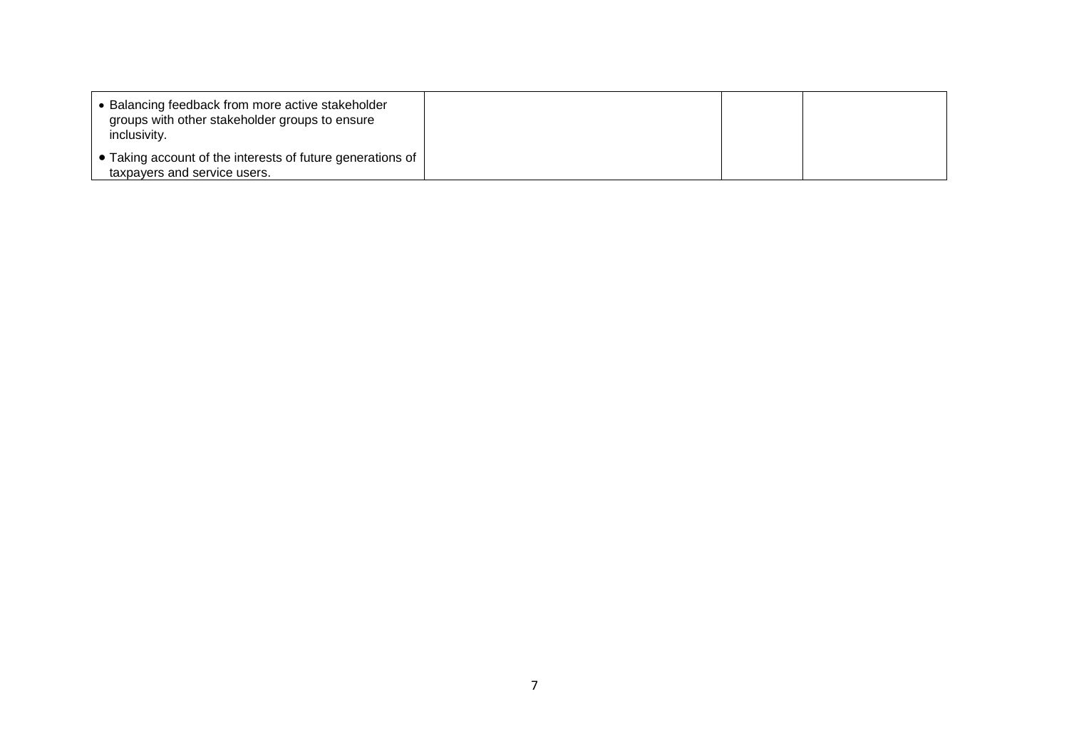| • Balancing feedback from more active stakeholder<br>groups with other stakeholder groups to ensure<br>inclusivity. |  |  |
|---------------------------------------------------------------------------------------------------------------------|--|--|
| $\vert \bullet$ Taking account of the interests of future generations of $\vert$<br>taxpayers and service users.    |  |  |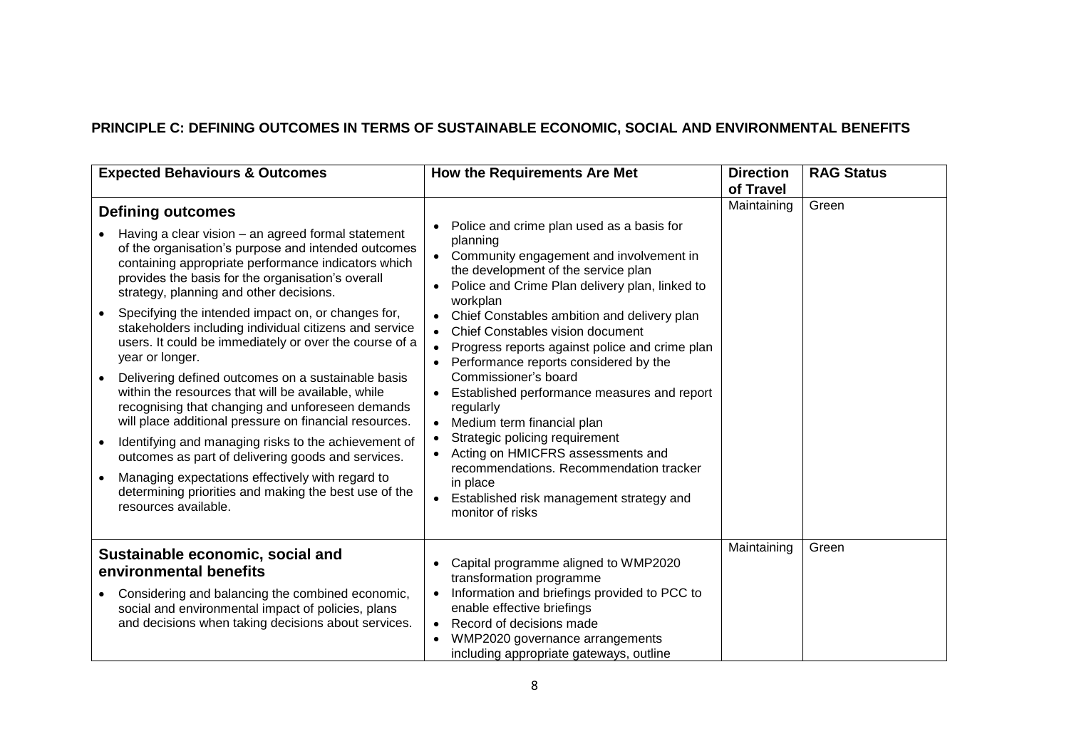# **PRINCIPLE C: DEFINING OUTCOMES IN TERMS OF SUSTAINABLE ECONOMIC, SOCIAL AND ENVIRONMENTAL BENEFITS**

| <b>Expected Behaviours &amp; Outcomes</b>                                                                                                                                                                                                                                                                                                                                                                                                                                                                                                                                                                                                                                                                                                                                                                                                                                                                                                                                           | <b>How the Requirements Are Met</b>                                                                                                                                                                                                                                                                                                                                                                                                                                                                                                                                                                                                                                                                                                                                                                         | <b>Direction</b><br>of Travel | <b>RAG Status</b> |
|-------------------------------------------------------------------------------------------------------------------------------------------------------------------------------------------------------------------------------------------------------------------------------------------------------------------------------------------------------------------------------------------------------------------------------------------------------------------------------------------------------------------------------------------------------------------------------------------------------------------------------------------------------------------------------------------------------------------------------------------------------------------------------------------------------------------------------------------------------------------------------------------------------------------------------------------------------------------------------------|-------------------------------------------------------------------------------------------------------------------------------------------------------------------------------------------------------------------------------------------------------------------------------------------------------------------------------------------------------------------------------------------------------------------------------------------------------------------------------------------------------------------------------------------------------------------------------------------------------------------------------------------------------------------------------------------------------------------------------------------------------------------------------------------------------------|-------------------------------|-------------------|
| <b>Defining outcomes</b><br>Having a clear vision - an agreed formal statement<br>of the organisation's purpose and intended outcomes<br>containing appropriate performance indicators which<br>provides the basis for the organisation's overall<br>strategy, planning and other decisions.<br>Specifying the intended impact on, or changes for,<br>stakeholders including individual citizens and service<br>users. It could be immediately or over the course of a<br>year or longer.<br>Delivering defined outcomes on a sustainable basis<br>within the resources that will be available, while<br>recognising that changing and unforeseen demands<br>will place additional pressure on financial resources.<br>Identifying and managing risks to the achievement of<br>outcomes as part of delivering goods and services.<br>Managing expectations effectively with regard to<br>$\bullet$<br>determining priorities and making the best use of the<br>resources available. | Police and crime plan used as a basis for<br>planning<br>Community engagement and involvement in<br>$\bullet$<br>the development of the service plan<br>Police and Crime Plan delivery plan, linked to<br>workplan<br>Chief Constables ambition and delivery plan<br>Chief Constables vision document<br>$\bullet$<br>Progress reports against police and crime plan<br>Performance reports considered by the<br>$\bullet$<br>Commissioner's board<br>Established performance measures and report<br>$\bullet$<br>regularly<br>Medium term financial plan<br>$\bullet$<br>Strategic policing requirement<br>$\bullet$<br>Acting on HMICFRS assessments and<br>$\bullet$<br>recommendations. Recommendation tracker<br>in place<br>Established risk management strategy and<br>$\bullet$<br>monitor of risks | Maintaining                   | Green             |
| Sustainable economic, social and<br>environmental benefits<br>Considering and balancing the combined economic,<br>$\bullet$<br>social and environmental impact of policies, plans<br>and decisions when taking decisions about services.                                                                                                                                                                                                                                                                                                                                                                                                                                                                                                                                                                                                                                                                                                                                            | Capital programme aligned to WMP2020<br>$\bullet$<br>transformation programme<br>Information and briefings provided to PCC to<br>$\bullet$<br>enable effective briefings<br>Record of decisions made<br>$\bullet$<br>WMP2020 governance arrangements<br>including appropriate gateways, outline                                                                                                                                                                                                                                                                                                                                                                                                                                                                                                             | Maintaining                   | Green             |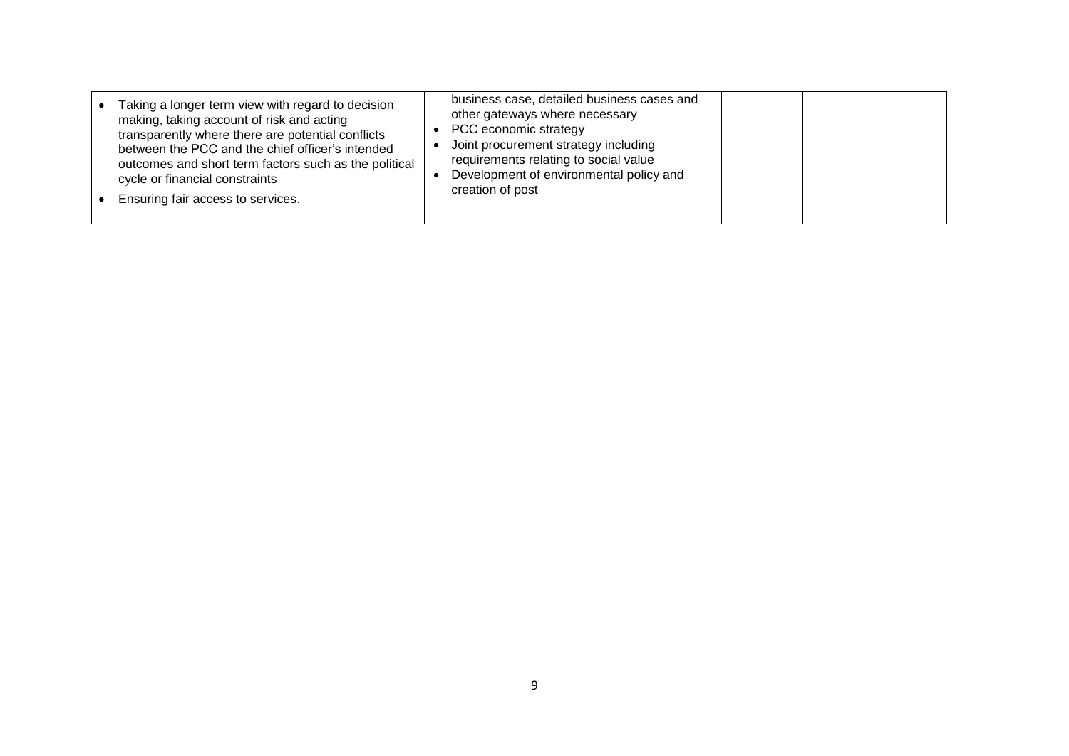| • Taking a longer term view with regard to decision<br>making, taking account of risk and acting<br>transparently where there are potential conflicts<br>between the PCC and the chief officer's intended<br>outcomes and short term factors such as the political<br>cycle or financial constraints | business case, detailed business cases and<br>other gateways where necessary<br>PCC economic strategy<br>Joint procurement strategy including<br>requirements relating to social value<br>Development of environmental policy and<br>creation of post |  |
|------------------------------------------------------------------------------------------------------------------------------------------------------------------------------------------------------------------------------------------------------------------------------------------------------|-------------------------------------------------------------------------------------------------------------------------------------------------------------------------------------------------------------------------------------------------------|--|
| • Ensuring fair access to services.                                                                                                                                                                                                                                                                  |                                                                                                                                                                                                                                                       |  |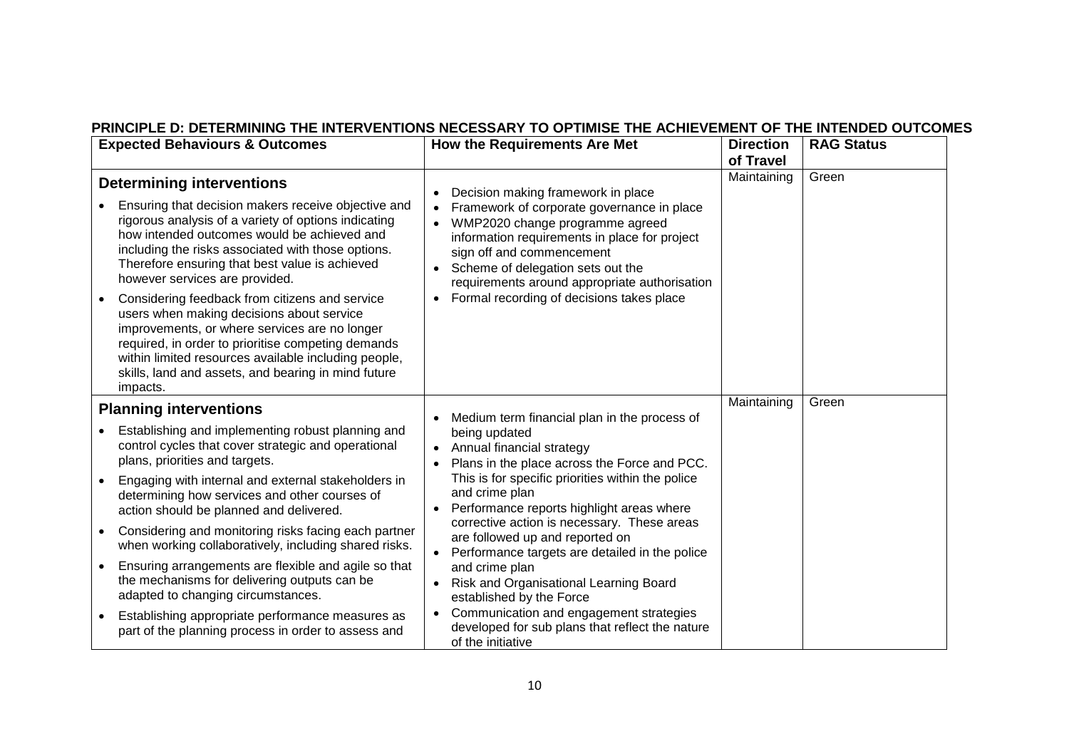|                        | FRINGIFLE D. DETERMINING THE INTERVENTIONS NEGESSART TO OFTIMISE THE AGHIEVEMIENT OF THE INTENDED OUTGOMI<br><b>Expected Behaviours &amp; Outcomes</b>                                                                                                                                                                                                                                                                                                                                                                                                                                                                                                                    | <b>How the Requirements Are Met</b>                                                                                                                                                                                                                                                                                                      | <b>Direction</b><br>of Travel | <b>RAG Status</b> |
|------------------------|---------------------------------------------------------------------------------------------------------------------------------------------------------------------------------------------------------------------------------------------------------------------------------------------------------------------------------------------------------------------------------------------------------------------------------------------------------------------------------------------------------------------------------------------------------------------------------------------------------------------------------------------------------------------------|------------------------------------------------------------------------------------------------------------------------------------------------------------------------------------------------------------------------------------------------------------------------------------------------------------------------------------------|-------------------------------|-------------------|
|                        | <b>Determining interventions</b><br>Ensuring that decision makers receive objective and<br>rigorous analysis of a variety of options indicating<br>how intended outcomes would be achieved and<br>including the risks associated with those options.<br>Therefore ensuring that best value is achieved<br>however services are provided.<br>Considering feedback from citizens and service<br>users when making decisions about service<br>improvements, or where services are no longer<br>required, in order to prioritise competing demands<br>within limited resources available including people,<br>skills, land and assets, and bearing in mind future<br>impacts. | Decision making framework in place<br>Framework of corporate governance in place<br>WMP2020 change programme agreed<br>information requirements in place for project<br>sign off and commencement<br>• Scheme of delegation sets out the<br>requirements around appropriate authorisation<br>• Formal recording of decisions takes place | Maintaining                   | Green             |
|                        | <b>Planning interventions</b><br>Establishing and implementing robust planning and<br>control cycles that cover strategic and operational<br>plans, priorities and targets.<br>Engaging with internal and external stakeholders in<br>determining how services and other courses of                                                                                                                                                                                                                                                                                                                                                                                       | Medium term financial plan in the process of<br>being updated<br>• Annual financial strategy<br>Plans in the place across the Force and PCC.<br>This is for specific priorities within the police<br>and crime plan                                                                                                                      | Maintaining                   | Green             |
| $\bullet$<br>$\bullet$ | action should be planned and delivered.<br>Considering and monitoring risks facing each partner<br>when working collaboratively, including shared risks.<br>Ensuring arrangements are flexible and agile so that<br>the mechanisms for delivering outputs can be                                                                                                                                                                                                                                                                                                                                                                                                          | Performance reports highlight areas where<br>corrective action is necessary. These areas<br>are followed up and reported on<br>• Performance targets are detailed in the police<br>and crime plan<br>Risk and Organisational Learning Board                                                                                              |                               |                   |
| $\bullet$              | adapted to changing circumstances.<br>Establishing appropriate performance measures as<br>part of the planning process in order to assess and                                                                                                                                                                                                                                                                                                                                                                                                                                                                                                                             | established by the Force<br>Communication and engagement strategies<br>developed for sub plans that reflect the nature<br>of the initiative                                                                                                                                                                                              |                               |                   |

## **PRINCIPLE D: DETERMINING THE INTERVENTIONS NECESSARY TO OPTIMISE THE ACHIEVEMENT OF THE INTENDED OUTCOMES**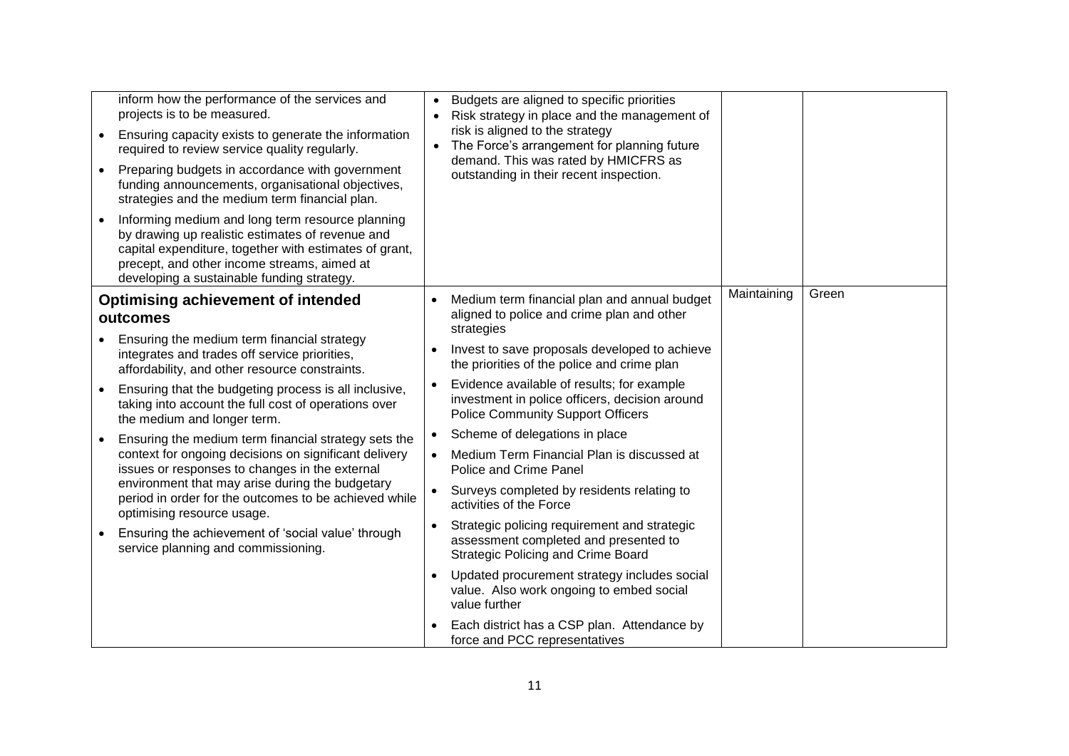| $\bullet$<br>$\bullet$ | inform how the performance of the services and<br>projects is to be measured.<br>Ensuring capacity exists to generate the information<br>required to review service quality regularly.<br>Preparing budgets in accordance with government<br>funding announcements, organisational objectives,<br>strategies and the medium term financial plan.<br>Informing medium and long term resource planning<br>by drawing up realistic estimates of revenue and<br>capital expenditure, together with estimates of grant,<br>precept, and other income streams, aimed at<br>developing a sustainable funding strategy. | $\bullet$ | Budgets are aligned to specific priorities<br>Risk strategy in place and the management of<br>risk is aligned to the strategy<br>The Force's arrangement for planning future<br>demand. This was rated by HMICFRS as<br>outstanding in their recent inspection. |             |       |
|------------------------|-----------------------------------------------------------------------------------------------------------------------------------------------------------------------------------------------------------------------------------------------------------------------------------------------------------------------------------------------------------------------------------------------------------------------------------------------------------------------------------------------------------------------------------------------------------------------------------------------------------------|-----------|-----------------------------------------------------------------------------------------------------------------------------------------------------------------------------------------------------------------------------------------------------------------|-------------|-------|
|                        | <b>Optimising achievement of intended</b><br>outcomes                                                                                                                                                                                                                                                                                                                                                                                                                                                                                                                                                           |           | Medium term financial plan and annual budget<br>aligned to police and crime plan and other                                                                                                                                                                      | Maintaining | Green |
|                        | Ensuring the medium term financial strategy<br>integrates and trades off service priorities,<br>affordability, and other resource constraints.                                                                                                                                                                                                                                                                                                                                                                                                                                                                  |           | strategies<br>Invest to save proposals developed to achieve<br>the priorities of the police and crime plan                                                                                                                                                      |             |       |
|                        | Ensuring that the budgeting process is all inclusive,<br>taking into account the full cost of operations over<br>the medium and longer term.                                                                                                                                                                                                                                                                                                                                                                                                                                                                    |           | Evidence available of results; for example<br>investment in police officers, decision around<br><b>Police Community Support Officers</b>                                                                                                                        |             |       |
|                        | Ensuring the medium term financial strategy sets the<br>context for ongoing decisions on significant delivery<br>issues or responses to changes in the external                                                                                                                                                                                                                                                                                                                                                                                                                                                 | $\bullet$ | Scheme of delegations in place<br>Medium Term Financial Plan is discussed at<br>Police and Crime Panel                                                                                                                                                          |             |       |
|                        | environment that may arise during the budgetary<br>period in order for the outcomes to be achieved while<br>optimising resource usage.                                                                                                                                                                                                                                                                                                                                                                                                                                                                          |           | Surveys completed by residents relating to<br>activities of the Force                                                                                                                                                                                           |             |       |
|                        | Ensuring the achievement of 'social value' through<br>service planning and commissioning.                                                                                                                                                                                                                                                                                                                                                                                                                                                                                                                       |           | Strategic policing requirement and strategic<br>assessment completed and presented to<br><b>Strategic Policing and Crime Board</b>                                                                                                                              |             |       |
|                        |                                                                                                                                                                                                                                                                                                                                                                                                                                                                                                                                                                                                                 |           | Updated procurement strategy includes social<br>value. Also work ongoing to embed social<br>value further                                                                                                                                                       |             |       |
|                        |                                                                                                                                                                                                                                                                                                                                                                                                                                                                                                                                                                                                                 |           | Each district has a CSP plan. Attendance by<br>force and PCC representatives                                                                                                                                                                                    |             |       |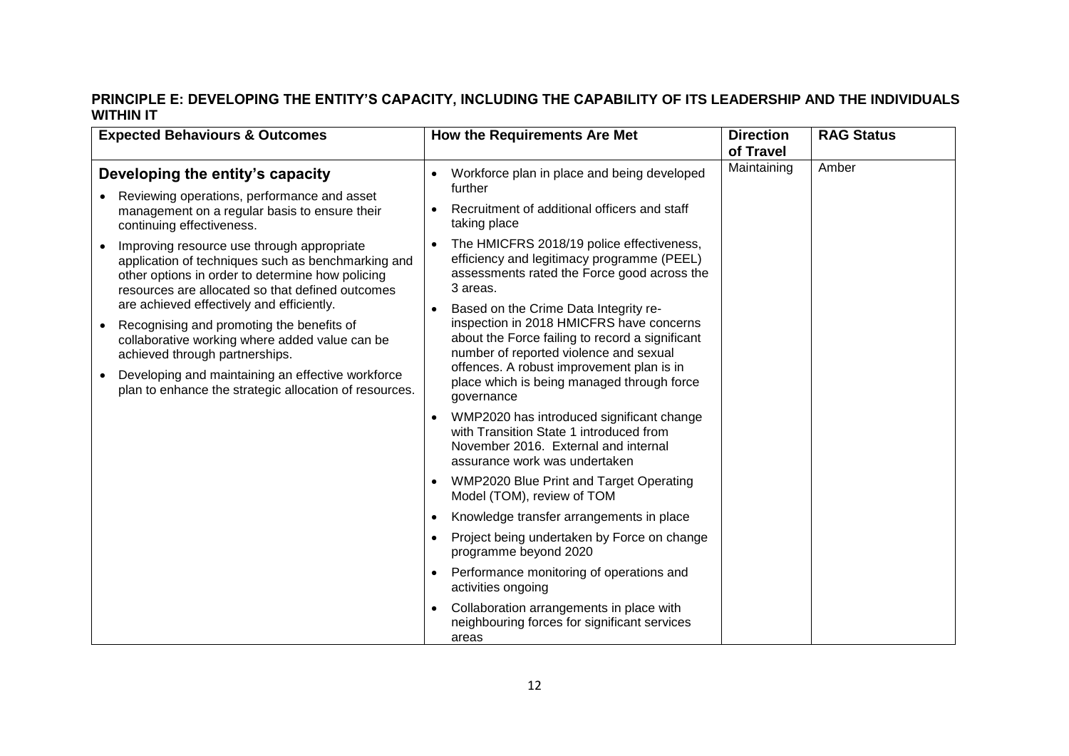### **PRINCIPLE E: DEVELOPING THE ENTITY'S CAPACITY, INCLUDING THE CAPABILITY OF ITS LEADERSHIP AND THE INDIVIDUALS WITHIN IT**

| <b>Expected Behaviours &amp; Outcomes</b>                                                                                                                                                                | <b>How the Requirements Are Met</b>                                                                                                                                            | <b>Direction</b><br>of Travel | <b>RAG Status</b> |
|----------------------------------------------------------------------------------------------------------------------------------------------------------------------------------------------------------|--------------------------------------------------------------------------------------------------------------------------------------------------------------------------------|-------------------------------|-------------------|
| Developing the entity's capacity                                                                                                                                                                         | Workforce plan in place and being developed<br>further                                                                                                                         | Maintaining                   | Amber             |
| Reviewing operations, performance and asset<br>management on a regular basis to ensure their<br>continuing effectiveness.                                                                                | Recruitment of additional officers and staff<br>taking place                                                                                                                   |                               |                   |
| Improving resource use through appropriate<br>application of techniques such as benchmarking and<br>other options in order to determine how policing<br>resources are allocated so that defined outcomes | The HMICFRS 2018/19 police effectiveness,<br>efficiency and legitimacy programme (PEEL)<br>assessments rated the Force good across the<br>3 areas.                             |                               |                   |
| are achieved effectively and efficiently.<br>Recognising and promoting the benefits of<br>$\bullet$<br>collaborative working where added value can be<br>achieved through partnerships.                  | Based on the Crime Data Integrity re-<br>inspection in 2018 HMICFRS have concerns<br>about the Force failing to record a significant<br>number of reported violence and sexual |                               |                   |
| Developing and maintaining an effective workforce<br>plan to enhance the strategic allocation of resources.                                                                                              | offences. A robust improvement plan is in<br>place which is being managed through force<br>governance                                                                          |                               |                   |
|                                                                                                                                                                                                          | WMP2020 has introduced significant change<br>with Transition State 1 introduced from<br>November 2016. External and internal<br>assurance work was undertaken                  |                               |                   |
|                                                                                                                                                                                                          | <b>WMP2020 Blue Print and Target Operating</b><br>Model (TOM), review of TOM                                                                                                   |                               |                   |
|                                                                                                                                                                                                          | Knowledge transfer arrangements in place<br>$\bullet$                                                                                                                          |                               |                   |
|                                                                                                                                                                                                          | Project being undertaken by Force on change<br>programme beyond 2020                                                                                                           |                               |                   |
|                                                                                                                                                                                                          | Performance monitoring of operations and<br>activities ongoing                                                                                                                 |                               |                   |
|                                                                                                                                                                                                          | Collaboration arrangements in place with<br>neighbouring forces for significant services<br>areas                                                                              |                               |                   |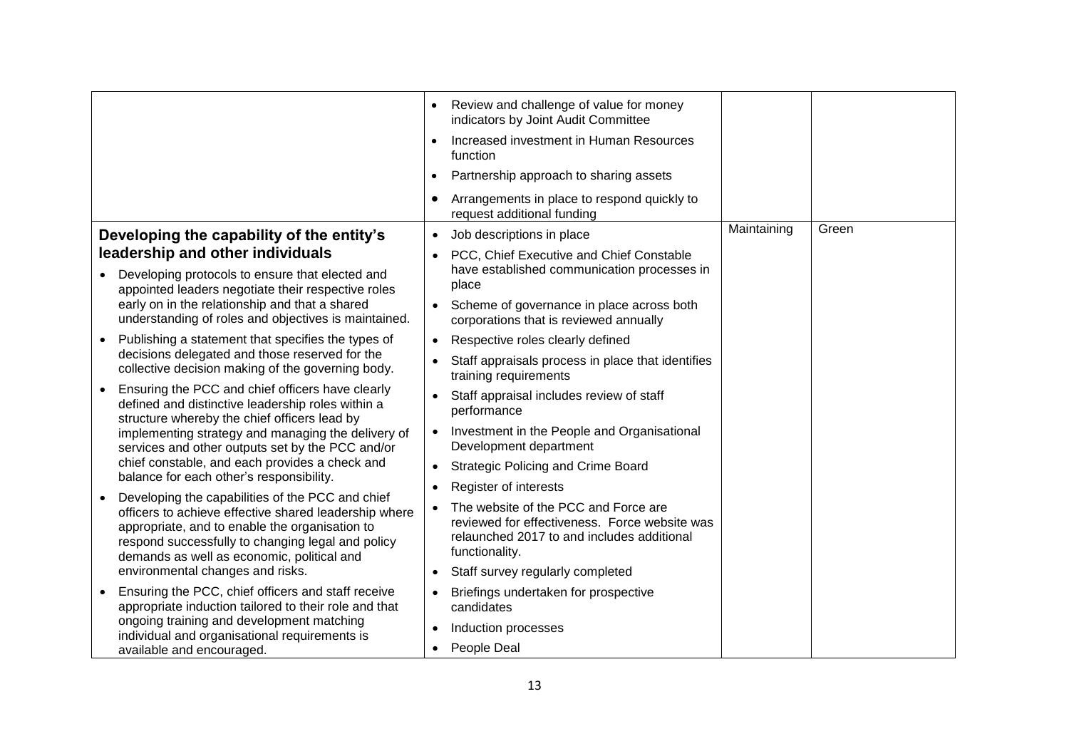|                                                                                                                                                                                                                                                                                                                                                                                                                                                                      | Review and challenge of value for money<br>$\bullet$<br>indicators by Joint Audit Committee<br>Increased investment in Human Resources<br>$\bullet$<br>function<br>Partnership approach to sharing assets<br>$\bullet$<br>Arrangements in place to respond quickly to<br>request additional funding |             |       |
|----------------------------------------------------------------------------------------------------------------------------------------------------------------------------------------------------------------------------------------------------------------------------------------------------------------------------------------------------------------------------------------------------------------------------------------------------------------------|-----------------------------------------------------------------------------------------------------------------------------------------------------------------------------------------------------------------------------------------------------------------------------------------------------|-------------|-------|
| Developing the capability of the entity's<br>leadership and other individuals<br>• Developing protocols to ensure that elected and<br>appointed leaders negotiate their respective roles<br>early on in the relationship and that a shared<br>understanding of roles and objectives is maintained.<br>Publishing a statement that specifies the types of                                                                                                             | Job descriptions in place<br>$\bullet$<br>PCC, Chief Executive and Chief Constable<br>have established communication processes in<br>place<br>Scheme of governance in place across both<br>corporations that is reviewed annually<br>Respective roles clearly defined<br>$\bullet$                  | Maintaining | Green |
| decisions delegated and those reserved for the<br>collective decision making of the governing body.<br>Ensuring the PCC and chief officers have clearly<br>defined and distinctive leadership roles within a<br>structure whereby the chief officers lead by<br>implementing strategy and managing the delivery of<br>services and other outputs set by the PCC and/or<br>chief constable, and each provides a check and<br>balance for each other's responsibility. | Staff appraisals process in place that identifies<br>training requirements<br>Staff appraisal includes review of staff<br>performance<br>Investment in the People and Organisational<br>Development department<br><b>Strategic Policing and Crime Board</b><br>Register of interests                |             |       |
| Developing the capabilities of the PCC and chief<br>officers to achieve effective shared leadership where<br>appropriate, and to enable the organisation to<br>respond successfully to changing legal and policy<br>demands as well as economic, political and<br>environmental changes and risks.                                                                                                                                                                   | The website of the PCC and Force are<br>reviewed for effectiveness. Force website was<br>relaunched 2017 to and includes additional<br>functionality.<br>Staff survey regularly completed                                                                                                           |             |       |
| Ensuring the PCC, chief officers and staff receive<br>appropriate induction tailored to their role and that<br>ongoing training and development matching<br>individual and organisational requirements is<br>available and encouraged.                                                                                                                                                                                                                               | Briefings undertaken for prospective<br>candidates<br>Induction processes<br>$\bullet$<br>People Deal                                                                                                                                                                                               |             |       |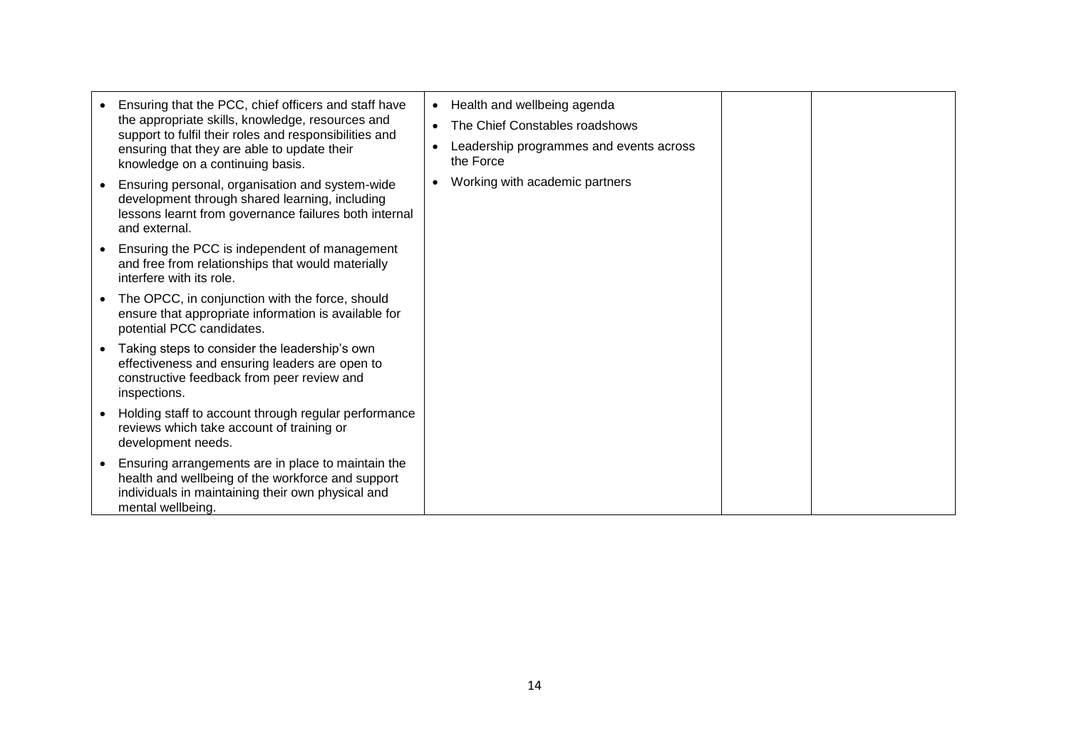|  | Ensuring that the PCC, chief officers and staff have<br>the appropriate skills, knowledge, resources and<br>support to fulfil their roles and responsibilities and<br>ensuring that they are able to update their<br>knowledge on a continuing basis. | Health and wellbeing agenda<br>$\bullet$             |  |
|--|-------------------------------------------------------------------------------------------------------------------------------------------------------------------------------------------------------------------------------------------------------|------------------------------------------------------|--|
|  |                                                                                                                                                                                                                                                       | The Chief Constables roadshows<br>$\bullet$          |  |
|  |                                                                                                                                                                                                                                                       | Leadership programmes and events across<br>the Force |  |
|  | Ensuring personal, organisation and system-wide<br>development through shared learning, including<br>lessons learnt from governance failures both internal<br>and external.                                                                           | Working with academic partners                       |  |
|  | Ensuring the PCC is independent of management<br>and free from relationships that would materially<br>interfere with its role.                                                                                                                        |                                                      |  |
|  | The OPCC, in conjunction with the force, should<br>ensure that appropriate information is available for<br>potential PCC candidates.                                                                                                                  |                                                      |  |
|  | Taking steps to consider the leadership's own<br>effectiveness and ensuring leaders are open to<br>constructive feedback from peer review and<br>inspections.                                                                                         |                                                      |  |
|  | Holding staff to account through regular performance<br>reviews which take account of training or<br>development needs.                                                                                                                               |                                                      |  |
|  | Ensuring arrangements are in place to maintain the<br>health and wellbeing of the workforce and support<br>individuals in maintaining their own physical and<br>mental wellbeing.                                                                     |                                                      |  |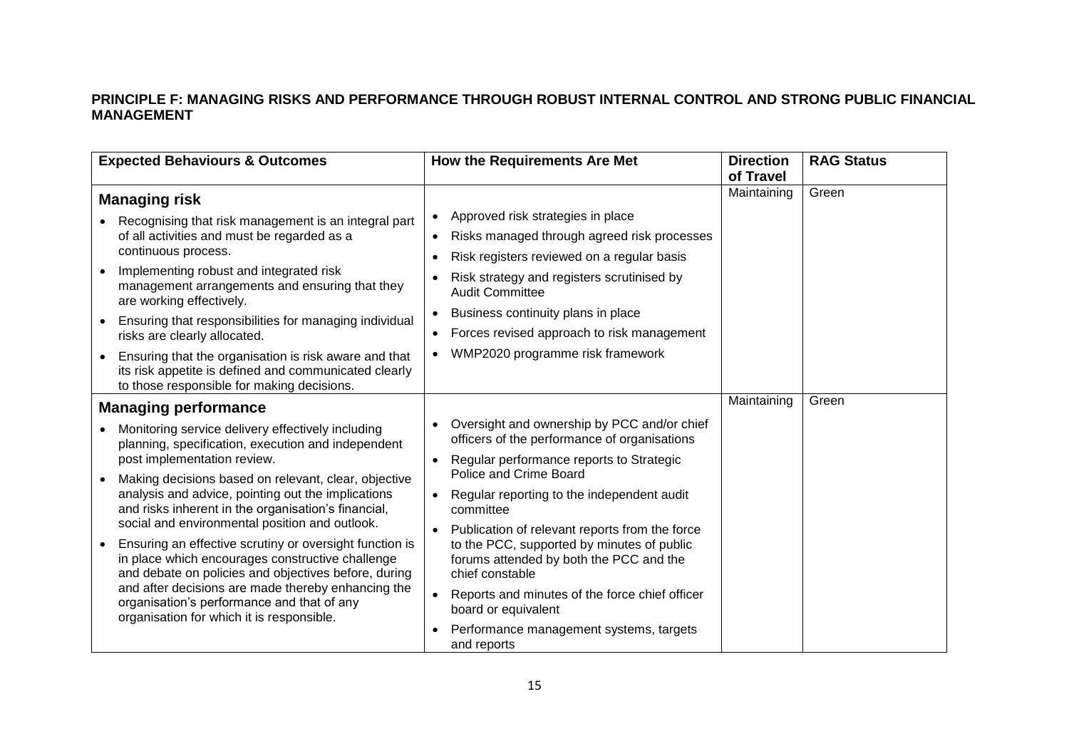#### **PRINCIPLE F: MANAGING RISKS AND PERFORMANCE THROUGH ROBUST INTERNAL CONTROL AND STRONG PUBLIC FINANCIAL MANAGEMENT**

| <b>Expected Behaviours &amp; Outcomes</b>                                                                                                                                                                                                                                                                                                                                                                                                                                                                                            | <b>How the Requirements Are Met</b>                                                                                                                                                                                                                                                                                                                                                        | <b>Direction</b><br>of Travel | <b>RAG Status</b> |
|--------------------------------------------------------------------------------------------------------------------------------------------------------------------------------------------------------------------------------------------------------------------------------------------------------------------------------------------------------------------------------------------------------------------------------------------------------------------------------------------------------------------------------------|--------------------------------------------------------------------------------------------------------------------------------------------------------------------------------------------------------------------------------------------------------------------------------------------------------------------------------------------------------------------------------------------|-------------------------------|-------------------|
| <b>Managing risk</b>                                                                                                                                                                                                                                                                                                                                                                                                                                                                                                                 |                                                                                                                                                                                                                                                                                                                                                                                            | Maintaining                   | Green             |
| Recognising that risk management is an integral part<br>of all activities and must be regarded as a<br>continuous process.<br>Implementing robust and integrated risk<br>management arrangements and ensuring that they<br>are working effectively.<br>Ensuring that responsibilities for managing individual<br>risks are clearly allocated.<br>Ensuring that the organisation is risk aware and that<br>its risk appetite is defined and communicated clearly                                                                      | Approved risk strategies in place<br>Risks managed through agreed risk processes<br>Risk registers reviewed on a regular basis<br>Risk strategy and registers scrutinised by<br><b>Audit Committee</b><br>Business continuity plans in place<br>Forces revised approach to risk management<br>WMP2020 programme risk framework                                                             |                               |                   |
| to those responsible for making decisions.<br><b>Managing performance</b>                                                                                                                                                                                                                                                                                                                                                                                                                                                            |                                                                                                                                                                                                                                                                                                                                                                                            | Maintaining                   | Green             |
| Monitoring service delivery effectively including<br>planning, specification, execution and independent<br>post implementation review.<br>Making decisions based on relevant, clear, objective<br>analysis and advice, pointing out the implications<br>and risks inherent in the organisation's financial,<br>social and environmental position and outlook.<br>Ensuring an effective scrutiny or oversight function is<br>in place which encourages constructive challenge<br>and debate on policies and objectives before, during | Oversight and ownership by PCC and/or chief<br>officers of the performance of organisations<br>Regular performance reports to Strategic<br>Police and Crime Board<br>Regular reporting to the independent audit<br>committee<br>Publication of relevant reports from the force<br>to the PCC, supported by minutes of public<br>forums attended by both the PCC and the<br>chief constable |                               |                   |
| and after decisions are made thereby enhancing the<br>organisation's performance and that of any<br>organisation for which it is responsible.                                                                                                                                                                                                                                                                                                                                                                                        | Reports and minutes of the force chief officer<br>board or equivalent<br>Performance management systems, targets<br>and reports                                                                                                                                                                                                                                                            |                               |                   |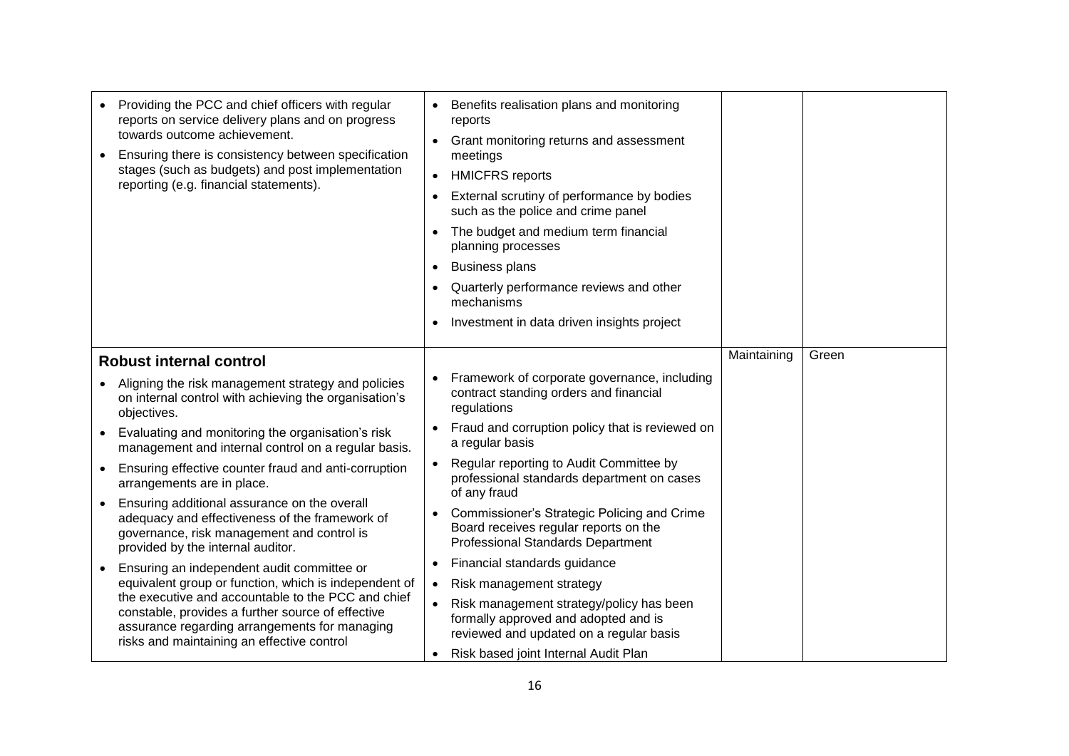|           | Providing the PCC and chief officers with regular<br>reports on service delivery plans and on progress<br>towards outcome achievement.<br>Ensuring there is consistency between specification<br>stages (such as budgets) and post implementation<br>reporting (e.g. financial statements). | $\bullet$<br>$\bullet$<br>$\bullet$<br>$\bullet$ | Benefits realisation plans and monitoring<br>reports<br>Grant monitoring returns and assessment<br>meetings<br><b>HMICFRS</b> reports<br>External scrutiny of performance by bodies<br>such as the police and crime panel<br>The budget and medium term financial<br>planning processes<br><b>Business plans</b><br>Quarterly performance reviews and other<br>mechanisms<br>Investment in data driven insights project |             |       |
|-----------|---------------------------------------------------------------------------------------------------------------------------------------------------------------------------------------------------------------------------------------------------------------------------------------------|--------------------------------------------------|-------------------------------------------------------------------------------------------------------------------------------------------------------------------------------------------------------------------------------------------------------------------------------------------------------------------------------------------------------------------------------------------------------------------------|-------------|-------|
|           | <b>Robust internal control</b>                                                                                                                                                                                                                                                              |                                                  |                                                                                                                                                                                                                                                                                                                                                                                                                         | Maintaining | Green |
|           | Aligning the risk management strategy and policies<br>on internal control with achieving the organisation's<br>objectives.                                                                                                                                                                  |                                                  | Framework of corporate governance, including<br>contract standing orders and financial<br>regulations                                                                                                                                                                                                                                                                                                                   |             |       |
|           | Evaluating and monitoring the organisation's risk<br>management and internal control on a regular basis.                                                                                                                                                                                    |                                                  | Fraud and corruption policy that is reviewed on<br>a regular basis                                                                                                                                                                                                                                                                                                                                                      |             |       |
|           | Ensuring effective counter fraud and anti-corruption<br>arrangements are in place.                                                                                                                                                                                                          | $\bullet$                                        | Regular reporting to Audit Committee by<br>professional standards department on cases<br>of any fraud                                                                                                                                                                                                                                                                                                                   |             |       |
|           | Ensuring additional assurance on the overall<br>adequacy and effectiveness of the framework of<br>governance, risk management and control is<br>provided by the internal auditor.                                                                                                           |                                                  | Commissioner's Strategic Policing and Crime<br>Board receives regular reports on the<br><b>Professional Standards Department</b>                                                                                                                                                                                                                                                                                        |             |       |
| $\bullet$ | Ensuring an independent audit committee or                                                                                                                                                                                                                                                  | $\bullet$                                        | Financial standards guidance                                                                                                                                                                                                                                                                                                                                                                                            |             |       |
|           | equivalent group or function, which is independent of<br>the executive and accountable to the PCC and chief<br>constable, provides a further source of effective<br>assurance regarding arrangements for managing<br>risks and maintaining an effective control                             | $\bullet$                                        | Risk management strategy                                                                                                                                                                                                                                                                                                                                                                                                |             |       |
|           |                                                                                                                                                                                                                                                                                             |                                                  | Risk management strategy/policy has been<br>formally approved and adopted and is<br>reviewed and updated on a regular basis                                                                                                                                                                                                                                                                                             |             |       |
|           |                                                                                                                                                                                                                                                                                             |                                                  | Risk based joint Internal Audit Plan                                                                                                                                                                                                                                                                                                                                                                                    |             |       |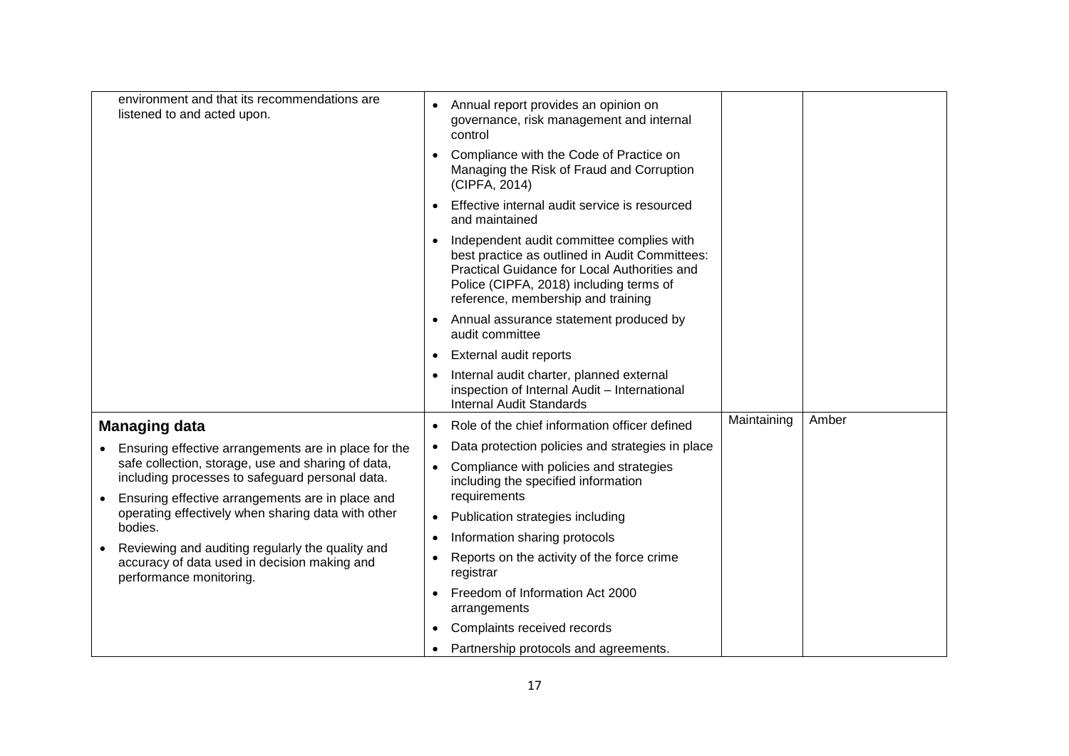| environment and that its recommendations are<br>listened to and acted upon. |                                                                                                       | control                | Annual report provides an opinion on<br>governance, risk management and internal                                                                                                                                             |             |       |
|-----------------------------------------------------------------------------|-------------------------------------------------------------------------------------------------------|------------------------|------------------------------------------------------------------------------------------------------------------------------------------------------------------------------------------------------------------------------|-------------|-------|
|                                                                             |                                                                                                       |                        | Compliance with the Code of Practice on<br>Managing the Risk of Fraud and Corruption<br>(CIPFA, 2014)                                                                                                                        |             |       |
|                                                                             |                                                                                                       |                        | Effective internal audit service is resourced<br>and maintained                                                                                                                                                              |             |       |
|                                                                             |                                                                                                       |                        | Independent audit committee complies with<br>best practice as outlined in Audit Committees:<br>Practical Guidance for Local Authorities and<br>Police (CIPFA, 2018) including terms of<br>reference, membership and training |             |       |
|                                                                             |                                                                                                       | $\bullet$              | Annual assurance statement produced by<br>audit committee                                                                                                                                                                    |             |       |
|                                                                             |                                                                                                       | $\bullet$              | External audit reports                                                                                                                                                                                                       |             |       |
|                                                                             |                                                                                                       |                        | Internal audit charter, planned external<br>inspection of Internal Audit - International<br><b>Internal Audit Standards</b>                                                                                                  |             |       |
| <b>Managing data</b>                                                        |                                                                                                       |                        | Role of the chief information officer defined                                                                                                                                                                                | Maintaining | Amber |
|                                                                             | Ensuring effective arrangements are in place for the                                                  |                        | Data protection policies and strategies in place                                                                                                                                                                             |             |       |
|                                                                             | safe collection, storage, use and sharing of data,<br>including processes to safeguard personal data. | $\bullet$              | Compliance with policies and strategies<br>including the specified information                                                                                                                                               |             |       |
|                                                                             | Ensuring effective arrangements are in place and                                                      |                        | requirements                                                                                                                                                                                                                 |             |       |
|                                                                             | operating effectively when sharing data with other<br>bodies.                                         |                        | Publication strategies including                                                                                                                                                                                             |             |       |
|                                                                             | Reviewing and auditing regularly the quality and                                                      | $\bullet$              | Information sharing protocols                                                                                                                                                                                                |             |       |
|                                                                             | accuracy of data used in decision making and<br>performance monitoring.                               | $\bullet$<br>registrar | Reports on the activity of the force crime                                                                                                                                                                                   |             |       |
|                                                                             |                                                                                                       |                        | Freedom of Information Act 2000<br>arrangements                                                                                                                                                                              |             |       |
|                                                                             |                                                                                                       | $\bullet$              | Complaints received records                                                                                                                                                                                                  |             |       |
|                                                                             |                                                                                                       |                        | • Partnership protocols and agreements.                                                                                                                                                                                      |             |       |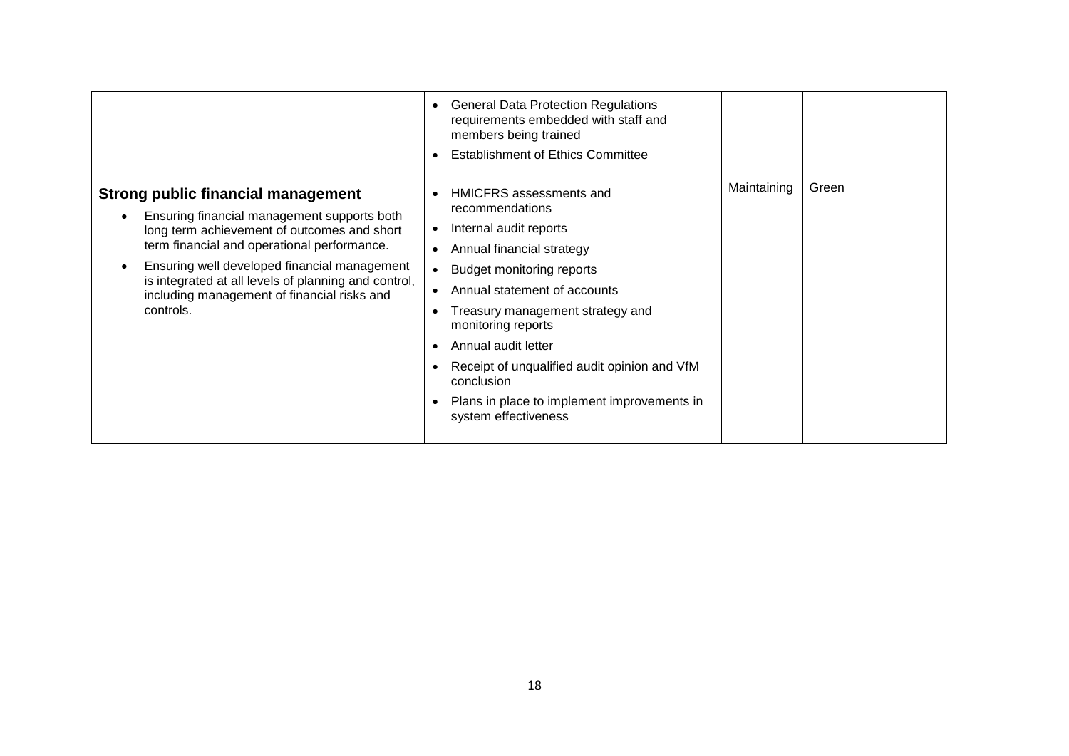|                                                                                                                                                                                                                                                                                                                                                     | <b>General Data Protection Regulations</b><br>requirements embedded with staff and<br>members being trained<br><b>Establishment of Ethics Committee</b>                                                                                                                                                                                                                                                               |             |       |
|-----------------------------------------------------------------------------------------------------------------------------------------------------------------------------------------------------------------------------------------------------------------------------------------------------------------------------------------------------|-----------------------------------------------------------------------------------------------------------------------------------------------------------------------------------------------------------------------------------------------------------------------------------------------------------------------------------------------------------------------------------------------------------------------|-------------|-------|
| Strong public financial management<br>Ensuring financial management supports both<br>long term achievement of outcomes and short<br>term financial and operational performance.<br>Ensuring well developed financial management<br>is integrated at all levels of planning and control,<br>including management of financial risks and<br>controls. | HMICFRS assessments and<br>recommendations<br>Internal audit reports<br>$\bullet$<br>Annual financial strategy<br>$\bullet$<br><b>Budget monitoring reports</b><br>Annual statement of accounts<br>Treasury management strategy and<br>monitoring reports<br>Annual audit letter<br>Receipt of unqualified audit opinion and VfM<br>conclusion<br>Plans in place to implement improvements in<br>system effectiveness | Maintaining | Green |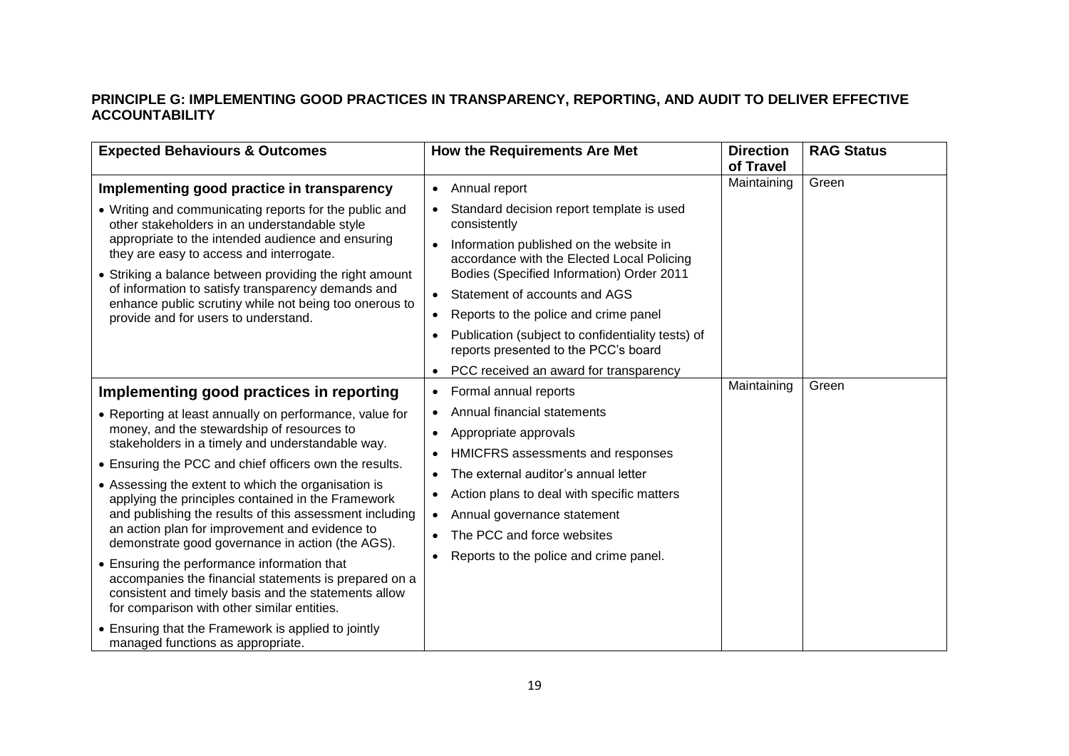### **PRINCIPLE G: IMPLEMENTING GOOD PRACTICES IN TRANSPARENCY, REPORTING, AND AUDIT TO DELIVER EFFECTIVE ACCOUNTABILITY**

| <b>Expected Behaviours &amp; Outcomes</b>                                                                                                                                                                   | <b>How the Requirements Are Met</b>                                                       | <b>Direction</b><br>of Travel | <b>RAG Status</b> |
|-------------------------------------------------------------------------------------------------------------------------------------------------------------------------------------------------------------|-------------------------------------------------------------------------------------------|-------------------------------|-------------------|
| Implementing good practice in transparency                                                                                                                                                                  | Annual report<br>$\bullet$                                                                | Maintaining                   | Green             |
| • Writing and communicating reports for the public and<br>other stakeholders in an understandable style                                                                                                     | Standard decision report template is used<br>consistently                                 |                               |                   |
| appropriate to the intended audience and ensuring<br>they are easy to access and interrogate.                                                                                                               | Information published on the website in<br>accordance with the Elected Local Policing     |                               |                   |
| • Striking a balance between providing the right amount<br>of information to satisfy transparency demands and                                                                                               | Bodies (Specified Information) Order 2011                                                 |                               |                   |
| enhance public scrutiny while not being too onerous to                                                                                                                                                      | Statement of accounts and AGS<br>$\bullet$                                                |                               |                   |
| provide and for users to understand.                                                                                                                                                                        | Reports to the police and crime panel<br>$\bullet$                                        |                               |                   |
|                                                                                                                                                                                                             | Publication (subject to confidentiality tests) of<br>reports presented to the PCC's board |                               |                   |
|                                                                                                                                                                                                             | PCC received an award for transparency                                                    |                               |                   |
| Implementing good practices in reporting                                                                                                                                                                    | Formal annual reports<br>$\bullet$                                                        | Maintaining                   | Green             |
| • Reporting at least annually on performance, value for                                                                                                                                                     | Annual financial statements<br>$\bullet$                                                  |                               |                   |
| money, and the stewardship of resources to                                                                                                                                                                  | Appropriate approvals<br>$\bullet$                                                        |                               |                   |
| stakeholders in a timely and understandable way.                                                                                                                                                            | HMICFRS assessments and responses                                                         |                               |                   |
| • Ensuring the PCC and chief officers own the results.                                                                                                                                                      | The external auditor's annual letter<br>$\bullet$                                         |                               |                   |
| • Assessing the extent to which the organisation is<br>applying the principles contained in the Framework                                                                                                   | Action plans to deal with specific matters<br>$\bullet$                                   |                               |                   |
| and publishing the results of this assessment including                                                                                                                                                     | Annual governance statement<br>$\bullet$                                                  |                               |                   |
| an action plan for improvement and evidence to<br>demonstrate good governance in action (the AGS).                                                                                                          | The PCC and force websites<br>$\bullet$                                                   |                               |                   |
| • Ensuring the performance information that<br>accompanies the financial statements is prepared on a<br>consistent and timely basis and the statements allow<br>for comparison with other similar entities. | Reports to the police and crime panel.                                                    |                               |                   |
| • Ensuring that the Framework is applied to jointly<br>managed functions as appropriate.                                                                                                                    |                                                                                           |                               |                   |